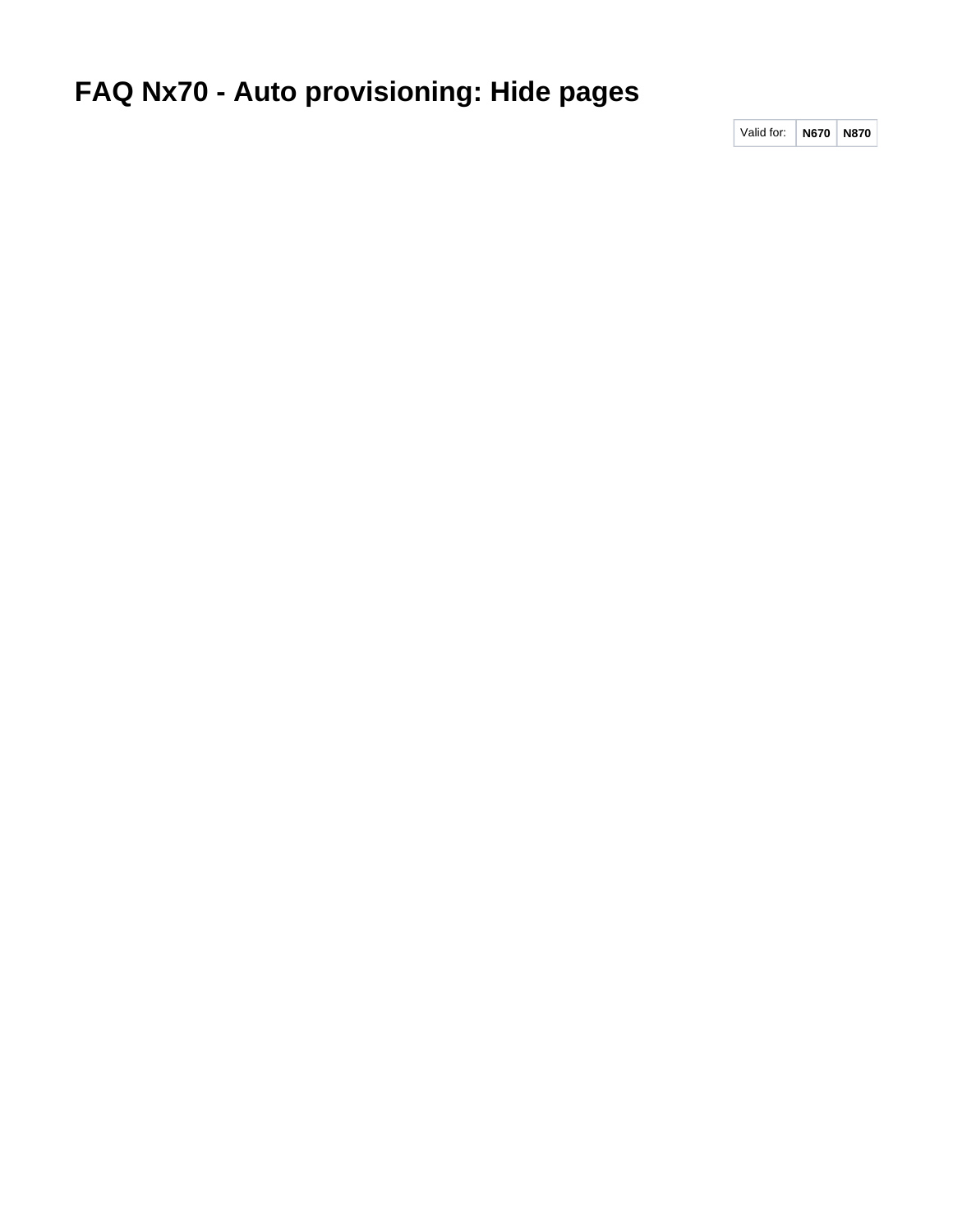## **FAQ Nx70 - Auto provisioning: Hide pages**

Valid for: **N670 N870**